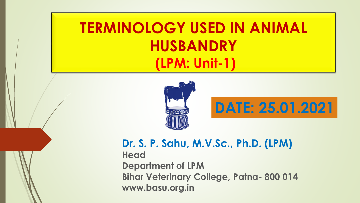## **TERMINOLOGY USED IN ANIMAL HUSBANDRY (LPM: Unit-1)**





#### **Dr. S. P. Sahu, M.V.Sc., Ph.D. (LPM)**

**Head Department of LPM Bihar Veterinary College, Patna- 800 014 www.basu.org.in**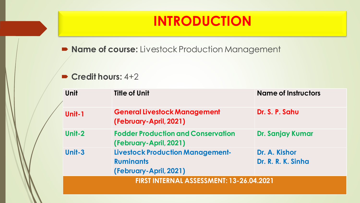### **INTRODUCTION**

**Name of course:** Livestock Production Management

#### **Credit hours:** 4+2

| Unit                                     | <b>Title of Unit</b>                                                                  | <b>Name of Instructors</b>          |  |  |
|------------------------------------------|---------------------------------------------------------------------------------------|-------------------------------------|--|--|
| Unit-1                                   | <b>General Livestock Management</b><br>(February-April, 2021)                         | Dr. S. P. Sahu                      |  |  |
| Unit-2                                   | <b>Fodder Production and Conservation</b><br>(February-April, 2021)                   | Dr. Sanjay Kumar                    |  |  |
| Unit-3                                   | <b>Livestock Production Management-</b><br><b>Ruminants</b><br>(February-April, 2021) | Dr. A. Kishor<br>Dr. R. R. K. Sinha |  |  |
| FIRST INTERNAL ASSESSMENT: 13-26.04.2021 |                                                                                       |                                     |  |  |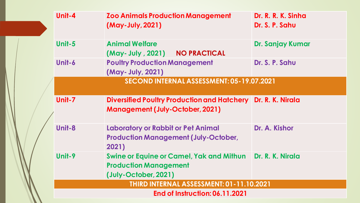|  | Unit-4                                    | <b>Zoo Animals Production Management</b><br>(May-July, 2021)                                                      | Dr. R. R. K. Sinha<br>Dr. S. P. Sahu |  |  |
|--|-------------------------------------------|-------------------------------------------------------------------------------------------------------------------|--------------------------------------|--|--|
|  | Unit-5                                    | <b>Animal Welfare</b><br>(May-July, 2021) NO PRACTICAL                                                            | Dr. Sanjay Kumar                     |  |  |
|  | Unit-6                                    | <b>Poultry Production Management</b><br>(May- July, 2021)                                                         | Dr. S. P. Sahu                       |  |  |
|  | SECOND INTERNAL ASSESSMENT: 05-19.07.2021 |                                                                                                                   |                                      |  |  |
|  | Unit-7                                    | Diversified Poultry Production and Hatchery Dr. R. K. Nirala<br><b>Management (July-October, 2021)</b>            |                                      |  |  |
|  | Unit-8                                    | <b>Laboratory or Rabbit or Pet Animal</b><br><b>Production Management (July-October,</b><br>2021)                 | Dr. A. Kishor                        |  |  |
|  | Unit-9                                    | Swine or Equine or Camel, Yak and Mithun Dr. R. K. Nirala<br><b>Production Management</b><br>(July-October, 2021) |                                      |  |  |
|  |                                           | THIRD INTERNAL ASSESSMENT: 01-11.10.2021                                                                          |                                      |  |  |
|  | <b>End of Instruction: 06.11.2021</b>     |                                                                                                                   |                                      |  |  |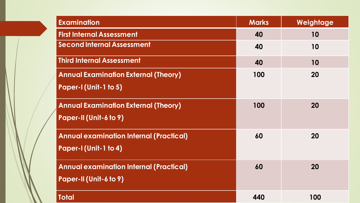| <b>Examination</b>                                                              | <b>Marks</b> | Weightage |
|---------------------------------------------------------------------------------|--------------|-----------|
| <b>First Internal Assessment</b>                                                | 40           | 10        |
| <b>Second Internal Assessment</b>                                               | 40           | 10        |
| <b>Third Internal Assessment</b>                                                | 40           | 10        |
| <b>Annual Examination External (Theory)</b><br><b>Paper-I (Unit-1 to 5)</b>     | 100          | 20        |
| <b>Annual Examination External (Theory)</b><br><b>Paper-II (Unit-6 to 9)</b>    | 100          | 20        |
| <b>Annual examination Internal (Practical)</b><br><b>Paper-I (Unit-1 to 4)</b>  | 60           | 20        |
| <b>Annual examination Internal (Practical)</b><br><b>Paper-II (Unit-6 to 9)</b> | 60           | 20        |
| <b>Total</b>                                                                    | 440          | 100       |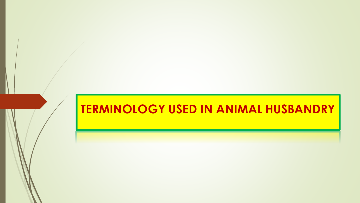### **TERMINOLOGY USED IN ANIMAL HUSBANDRY**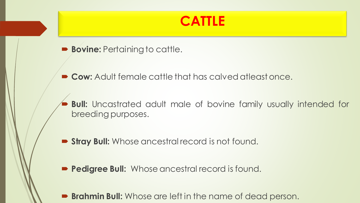### **CATTLE**

**Bovine: Pertaining to cattle.** 

**Cow:** Adult female cattle that has calved atleastonce.

 **Bull:** Uncastrated adult male of bovine family usually intended for breeding purposes.

**Stray Bull:** Whose ancestral record is not found.

**Pedigree Bull:** Whose ancestral record is found.

**Brahmin Bull:** Whose are left in the name of dead person.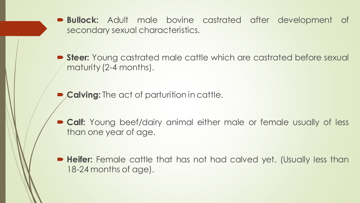**Bullock:** Adult male bovine castrated after development of secondary sexual characteristics.

**Steer:** Young castrated male cattle which are castrated before sexual maturity (2-4 months).

**Calving:** The act of parturition in cattle.

**Calf:** Young beef/dairy animal either male or female usually of less than one year of age.

 **Heifer:** Female cattle that has not had calved yet. (Usually less than 18-24 months of age).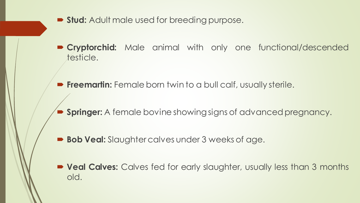- **Stud:** Adult male used for breeding purpose.
- **Cryptorchid:** Male animal with only one functional/descended testicle.
- **Freemartin:** Female born twin to a bull calf, usually sterile.
- **Springer:** A female bovine showing signs of advanced pregnancy.
- **Bob Veal:** Slaughter calves under 3 weeks of age.
- **Veal Calves:** Calves fed for early slaughter, usually less than 3 months old.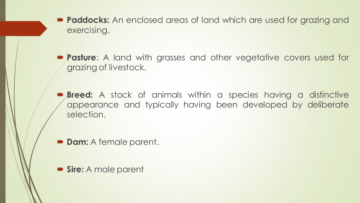- **Paddocks:** An enclosed areas of land which are used for grazing and exercising.
- **Pasture:** A land with grasses and other vegetative covers used for grazing of livestock.
- **Breed:** A stock of animals within a species having a distinctive appearance and typically having been developed by deliberate selection.
- **Dam:** A female parent.
- **Sire:** A male parent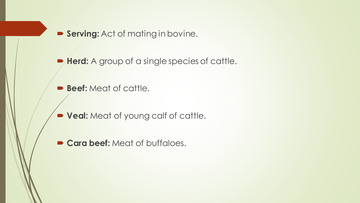**Serving:** Act of mating in bovine.

**Herd:** A group of a single species of cattle.

- **Beef:** Meat of cattle.
- **Veal:** Meat of young calf of cattle.
- **Cara beef:** Meat of buffaloes.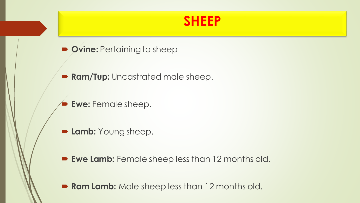#### **SHEEP**

- **P** Ovine: Pertaining to sheep
- **Ram/Tup:** Uncastrated male sheep.
	- **Ewe:** Female sheep.
- **Lamb: Young sheep.**
- **Ewe Lamb:** Female sheep less than 12 months old.
- **Ram Lamb:** Male sheep less than 12 months old.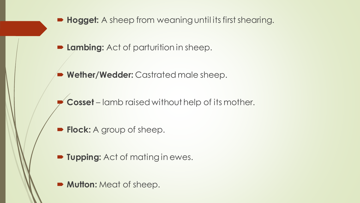

- **Lambing:** Act of parturition in sheep.
- **Wether/Wedder:** Castrated male sheep.
	- **Cosset**  lamb raised without help of its mother.
- **Flock:** A group of sheep.
- **Fupping:** Act of mating in ewes.
- **Mutton: Meat of sheep.**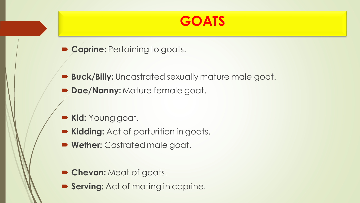#### **GOATS**

- **Caprine: Pertaining to goats.**
- **Buck/Billy:** Uncastrated sexually mature male goat.
- **Doe/Nanny: Mature female goat.**
- **Kid:** Young goat.
- **Kidding:** Act of parturition in goats.
- **Wether:** Castrated male goat.
- **Chevon:** Meat of goats.
- **Serving:** Act of mating in caprine.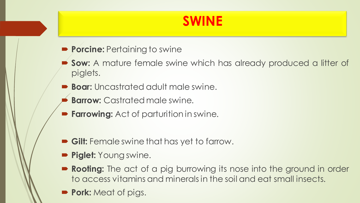### **SWINE**

- **Porcine: Pertaining to swine**
- **Sow:** A mature female swine which has already produced a litter of piglets.
- **Boar:** Uncastrated adult male swine.
- **Barrow:** Castrated male swine.
- **Farrowing:** Act of parturition in swine.
- **Gilt:** Female swine that has yet to farrow.
- **Piglet: Young swine.**
- **Rooting:** The act of a pig burrowing its nose into the ground in order to access vitamins and mineralsin the soil and eat small insects.
- **Pork:** Meat of pigs.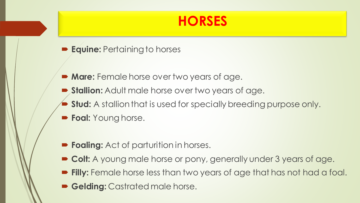#### **HORSES**

- **Equine: Pertaining to horses**
- **Mare:** Female horse over two years of age.
- **Stallion:** Adult male horse over two years of age.
- **Stud:** A stallion that is used for specially breeding purpose only.
- **Foal: Young horse.**
- **Foaling:** Act of parturition in horses.
- **Colt:** A young male horse or pony, generally under 3 years of age.
- **Filly:** Female horse less than two years of age that has not had a foal.
- **Gelding: Castrated male horse.**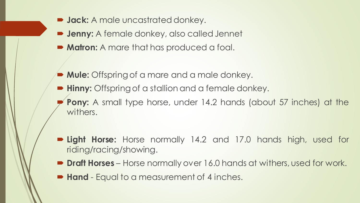- **Jack:** A male uncastrated donkey.
- **D Jenny:** A female donkey, also called Jennet
- **Matron:** A mare that has produced a foal.
- **Mule:** Offspring of a mare and a male donkey.
- **Hinny:** Offspring of a stallion and a female donkey.
	- **Pony:** A small type horse, under 14.2 hands (about 57 inches) at the withers.
- **Light Horse:** Horse normally 14.2 and 17.0 hands high, used for riding/racing/showing.
- **Draft Horses** Horse normally over 16.0 hands at withers, used for work.
- **Hand** Equal to a measurement of 4 inches.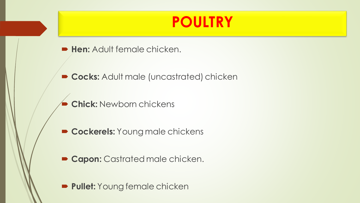### **POULTRY**

- **Hen: Adult female chicken.**
- **Cocks:** Adult male (uncastrated) chicken
	- **Chick:** Newborn chickens
- **Cockerels: Young male chickens**
- **Capon: Castrated male chicken.**
- **Pullet:** Young female chicken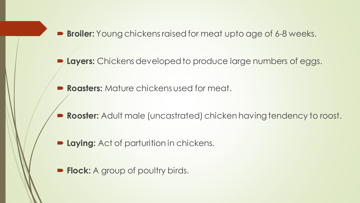**Broiler:** Young chickens raised for meat upto age of 6-8 weeks.

**Layers:** Chickens developed to produce large numbers of eggs.

**Roasters:** Mature chickens used for meat.

**Rooster:** Adult male (uncastrated) chicken having tendency to roost.

- **P Laying:** Act of parturition in chickens.
- **Flock:** A group of poultry birds.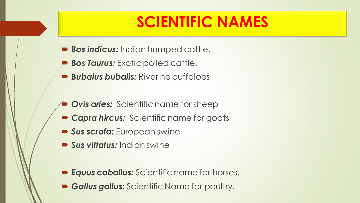# **SCIENTIFIC NAMES**

- *Bos indicus:* Indian humped cattle.
- *Bos Taurus:* Exotic polled cattle.
- *Bubalus bubalis:* Riverine buffaloes
- **Ovis aries:** Scientific name for sheep
- **Capra hircus:** Scientific name for goats
- *Sus scrofa:* European swine
- *Sus vittatus:* Indian swine
- *Equus caballus:* Scientific name for horses.
- *Gallus gallus:* Scientific Name for poultry.